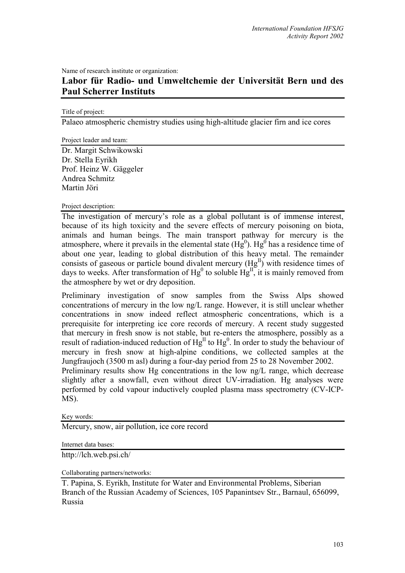Name of research institute or organization:

## **Labor für Radio- und Umweltchemie der Universität Bern und des Paul Scherrer Instituts**

Title of project:

Palaeo atmospheric chemistry studies using high-altitude glacier firn and ice cores

Project leader and team:

Dr. Margit Schwikowski Dr. Stella Eyrikh Prof. Heinz W. Gäggeler Andrea Schmitz Martin Jöri

Project description:

The investigation of mercury's role as a global pollutant is of immense interest, because of its high toxicity and the severe effects of mercury poisoning on biota, animals and human beings. The main transport pathway for mercury is the atmosphere, where it prevails in the elemental state  $(Hg^0)$ .  $Hg^0$  has a residence time of about one year, leading to global distribution of this heavy metal. The remainder consists of gaseous or particle bound divalent mercury  $(Hg^{II})$  with residence times of days to weeks. After transformation of  $Hg^0$  to soluble  $Hg^{\text{II}}$ , it is mainly removed from the atmosphere by wet or dry deposition.

Preliminary investigation of snow samples from the Swiss Alps showed concentrations of mercury in the low ng/L range. However, it is still unclear whether concentrations in snow indeed reflect atmospheric concentrations, which is a prerequisite for interpreting ice core records of mercury. A recent study suggested that mercury in fresh snow is not stable, but re-enters the atmosphere, possibly as a result of radiation-induced reduction of  $Hg<sup>II</sup>$  to  $Hg<sup>0</sup>$ . In order to study the behaviour of mercury in fresh snow at high-alpine conditions, we collected samples at the Jungfraujoch (3500 m asl) during a four-day period from 25 to 28 November 2002. Preliminary results show Hg concentrations in the low ng/L range, which decrease

slightly after a snowfall, even without direct UV-irradiation. Hg analyses were performed by cold vapour inductively coupled plasma mass spectrometry (CV-ICP-MS).

Key words:

Mercury, snow, air pollution, ice core record

Internet data bases:

http://lch.web.psi.ch/

Collaborating partners/networks:

T. Papina, S. Eyrikh, Institute for Water and Environmental Problems, Siberian Branch of the Russian Academy of Sciences, 105 Papanintsev Str., Barnaul, 656099, Russia